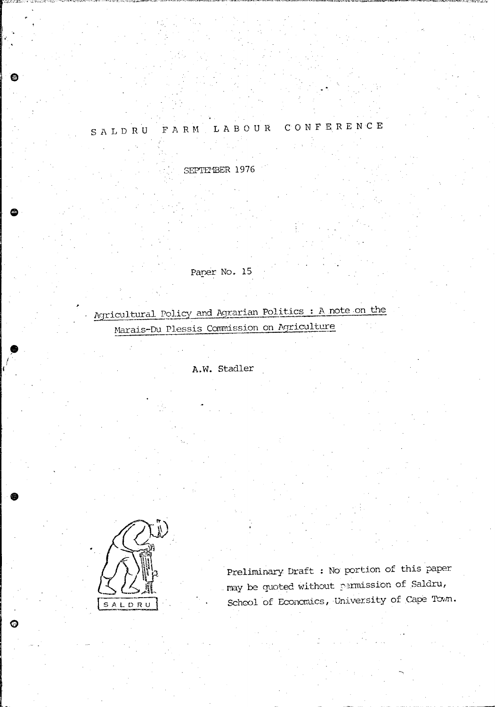## SALDRU FARM LABOUR CONFERENCE

SEPTEMBER 1976

Paper No. 15

Agricultural Policy and Agrarian Politics : A note on the Marais-Du Plessis Commission on Agriculture

A.W. Stadler



 $\bullet$ 

O

Preliminary Draft : No portion of this paper may be quoted without permission of Saldru, School of Economics, University of Cape Town.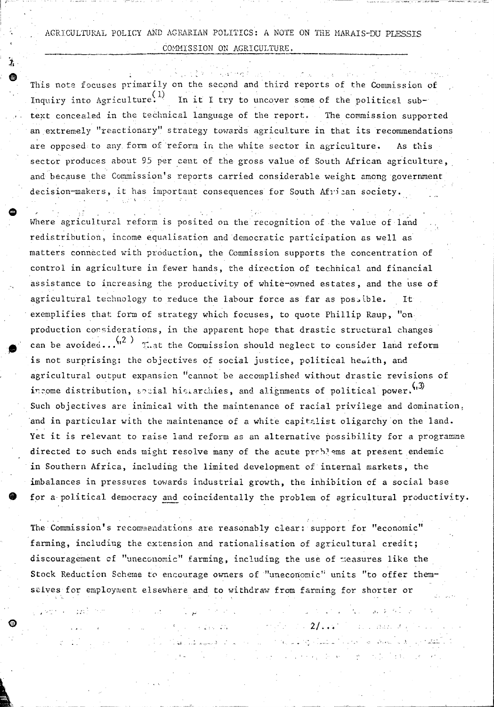AGRICULTURAL POLICY AND AGRARIAN POLITICS: A NOTE ON THE MARAIS-DU PLESSIS COMMISSION ON AGRICULTURE.

This note focuses primarily on the second and third reports of the Commission of Inquiry into Agriculture.<sup>(1)</sup> In it I try to uncover some of the political subtext concealed in the technical language of the report. The commission supported an extremely "reactionary" strategy towards agriculture in that its recommendations are opposed to any form of reform in the white sector in agriculture. As this sector produces about 95 per cent of the gross value of South African agriculture, and because the Commission's reports carried considerable weight among government decision-makers, it has important consequences for South African society.

Where agricultural reform is posited on the recognition of the value of land redistribution, income equalisation and democratic participation as well as matters connected with production, the Commission supports the concentration of control in agriculture in fewer hands, the direction of technical and financial assistance to increasing the productivity of white-owned estates, and the use of agricultural technology to reduce the labour force as far as possible. It exemplifies that form of strategy which focuses, to quote Phillip Raup, "onproduction considerations, in the apparent hope that drastic structural changes can be avoided... $\binom{12}{1}$  That the Commission should neglect to consider land reform is not surprising: the objectives of social justice, political health, and agricultural output expansion "cannot be accomplished without drastic revisions of income distribution, social histarchies, and alignments of political power. (13) Such objectives are inimical with the maintenance of racial privilege and domination, and in particular with the maintenance of a white capitalist oligarchy on the land. Yet it is relevant to raise land reform as an alternative possibility for a programme directed to such ends might resolve many of the acute problems at present endemic in Southern Africa, including the limited development of internal markets, the imbalances in pressures towards industrial growth, the inhibition of a social base for a political democracy and coincidentally the problem of agricultural productivity.

The Commission's recommendations are reasonably clear: support for "economic" farming, including the extension and rationalisation of agricultural credit; discouragement of "uneconomic" farming, including the use of measures like the Stock Reduction Scheme to encourage owners of "uneconomic" units "to offer themselves for employment elsewhere and to withdraw from farming for shorter or

**Contract Contract** 

لانتشاط الأردار فو

 $\label{eq:3} \frac{1}{\sqrt{2}}\left(\frac{1}{\sqrt{2}}\right)^2\left(\frac{1}{\sqrt{2}}\right)^2\left(\frac{1}{\sqrt{2}}\right)^2$ 

ن<br>نوابل په ۱۹۸۳ کال کې

 $2/\ldots$  . The set of  $\alpha$ 

 $\left\langle \sigma_{\rm{eff}} \right\rangle$  and

Julian Professional August 2018

计子 化加工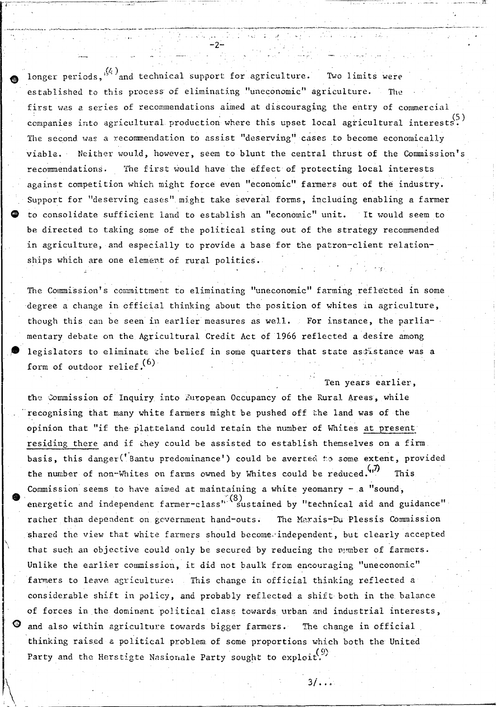longer periods,  $\binom{(4)}{4}$  and technical support for agriculture. Two limits were established to this process of eliminating "uneconomic" agriculture. The first was a series of recommendations aimed at discouraging the entry of commercial companies into agricultural production where this upset local agricultural interests. The second was a recommendation to assist "deserving" cases to become economically viable. Neither would, however, seem to blunt the central thrust of the Commission's The first would have the effect of protecting local interests recommendations. against competition which might force even "economic" farmers out of the industry. Support for "deserving cases" might take several forms, including enabling a farmer to consolidate sufficient land to establish an "economic" unit. It would seem to be directed to taking some of the political sting out of the strategy recommended in agriculture, and especially to provide a base for the patron-client relationships which are one element of rural politics.

The Commission's committment to eliminating "uneconomic" farming reflected in some degree a change in official thinking about the position of whites in agriculture, though this can be seen in earlier measures as well. For instance, the parliamentary debate on the Agricultural Credit Act of 1966 reflected a desire among legislators to eliminate the belief in some quarters that state assistance was a form of outdoor relief.  $(6)$ 

Ten years earlier,

 $3/\ldots$ 

the Commission of Inquiry into European Occupancy of the Rural Areas, while recognising that many white farmers might be pushed off the land was of the opinion that "if the platteland could retain the number of Whites at present residing there and if they could be assisted to establish themselves on a firm. basis, this danger('Bantu predominance') could be averted to some extent, provided the number of non-Whites on farms owned by Whites could be reduced. This Commission seems to have aimed at maintaining a white yeomanry - a "sound, energetic and independent farmer-class<sup>" (8)</sup> sustained by "technical aid and guidance" rather than dependent on government hand-outs. The Marais-Du Plessis Commission shared the view that white farmers should become independent, but clearly accepted that such an objective could only be secured by reducing the number of farmers. Unlike the earlier commission, it did not baulk from encouraging "uneconomic" farmers to leave agricultures. This change in official thinking reflected a considerable shift in policy, and probably reflected a shift both in the balance of forces in the dominant political class towards urban and industrial interests, and also within agriculture towards bigger farmers. The change in official thinking raised a political problem of some proportions which both the United Party and the Herstigte Nasionale Party sought to exploit.  $(9)$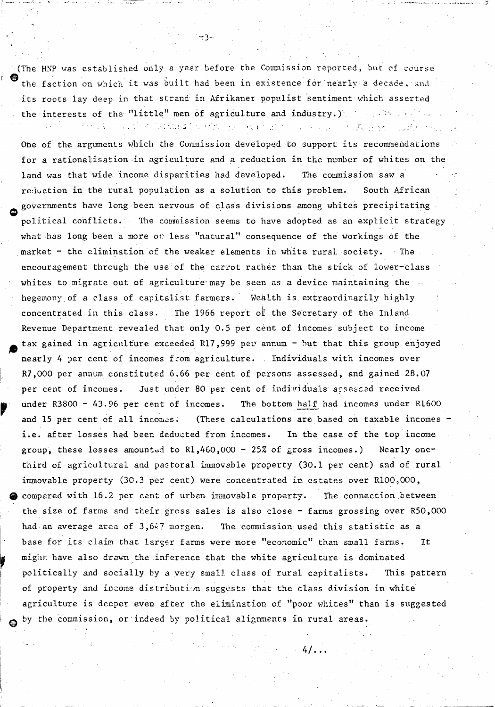(The HNP was established only a year before the Commission reported, but of course the faction on which it was built had been in existence for nearly a decade, and its roots lay deep in that strand in Afrikaner populist sentiment which asserted the interests of the "little" men of agriculture and industry.) with a following the result of a service of the second of the mass.

One of the arguments which the Commission developed to support its recommendations for a rationalisation in agriculture and a reduction in the number of whites on the land was that wide income disparities had developed. The commission saw a reduction in the rural population as a solution to this problem. South African governments have long been nervous of class divisions among whites precipitating political conflicts. The commission seems to have adopted as an explicit strategy what has long been a more on less "natural" consequence of the workings of the market - the elimination of the weaker elements in white rural society. The encouragement through the use of the carrot rather than the stick of lower-class whites to migrate out of agriculture may be seen as a device maintaining the hegemony of a class of capitalist farmers. Wealth is extraordinarily highly concentrated in this class. The 1966 report of the Secretary of the Inland Revenue Department revealed that only 0.5 per cent of incomes subject to income tax gained in agriculture exceeded R17,999 per annum - but that this group enjoyed nearly 4 per cent of incomes from agriculture. Individuals with incomes over R7,000 per annum constituted 6.66 per cent of persons assessed, and gained 28.07 Just under 80 per cent of individuals assessed received per cent of incomes. under  $R3800 - 43.96$  per cent of incomes. The bottom half had incomes under R1600 and 15 per cent of all incomes. (These calculations are based on taxable incomes i.e. after losses had been deducted from incomes. In the case of the top income group, these losses amounted to  $R1,460,000 - 25\%$  of gross incomes.) Nearly onethird of agricultural and pastoral immovable property (30.1 per cent) and of rural immovable property (30.3 per cent) were concentrated in estates over R100,000, compared with 16.2 per cent of urban immovable property. The connection between the size of farms and their gross sales is also close - farms grossing over R50,000 had an average area of 3,647 morgen. The commission used this statistic as a base for its claim that larger farms were more "economic" than small farms. It might have also drawn the inference that the white agriculture is dominated politically and socially by a very small class of rural capitalists. This pattern of property and income distribution suggests that the class division in white agriculture is deeper even after the elimination of "poor whites" than is suggested by the commission, or indeed by political alignments in rural areas.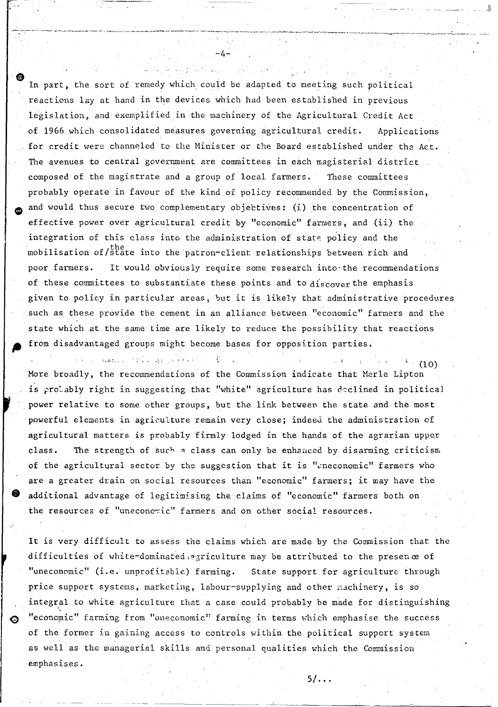In part, the sort of remedy which could be adapted to meeting such political reactions lay at hand in the devices which had been established in previous legislation, and exemplified in the machinery of the Agricultural Credit Act of 1966 which consolidated measures governing agricultural credit. Applications for credit were channeled to the Minister or the Board established under the Act. The avenues to central government are committees in each magisterial district composed of the magistrate and a group of local farmers. These committees probably operate in favour of the kind of policy recommended by the Commission, and would thus secure two complementary objectives: (i) the concentration of effective power over agricultural credit by "economic" farmers, and (ii) the integration of this class into the administration of state policy and the mobilisation of/state into the patron-client relationships between rich and poor farmers. It would obviously require some research into the recommendations of these committees to substantiate these points and to  $discover$  the emphasis given to policy in particular areas, but it is likely that administrative procedures such as these provide the cement in an alliance between "economic" farmers and the state which at the same time are likely to reduce the possibility that reactions from disadvantaged groups might become bases for opposition parties.

 $\label{eq:G1} \text{GME}(\mathcal{L}_\infty) = \frac{1}{2} \sum_{i=1}^n \mathcal{L}_\infty \left[ \frac{1}{2} \sum_{i=1}^n \mathcal{L}_\infty \left( \frac{1}{2} \sum_{i=1}^n \mathcal{L}_\infty \right) \mathcal{L}_\infty \right].$  $(10)$ More broadly, the recommendations of the Commission indicate that Merle Lipton is probably right in suggesting that "white" agriculture has declined in political power relative to some other groups, but the link between the state and the most powerful elements in agriculture remain very close; indeed the administration of agricultural matters is probably firmly lodged in the hands of the agrarian upper class. The strength of such a class can only be enhanced by disarming criticism of the agricultural sector by the suggestion that it is "eneconomic" farmers who are a greater drain on social resources than "economic" farmers; it may have the additional advantage of legitimising the claims of "economic" farmers both on the resources of "uneconomic" farmers and on other social resources.

It is very difficult to assess the claims which are made by the Commission that the difficulties of white-dominated egriculture may be attributed to the presence of "uneconomic" (i.e. unprofitable) farming. State support for agriculture through price support systems, marketing, labour-supplying and other machinery, is so integral to white agriculture that a case could probably be made for distinguishing "economic" farming from "uneconomic" farming in terms which emphasise the success of the former in gaining access to controls within the political support system as well as the managerial skills and personal qualities which the Commission emphasises.

 $5/4$ ..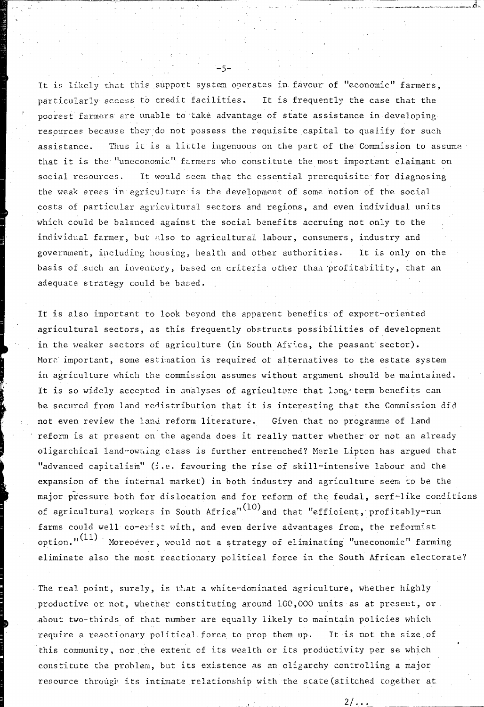It is likely that this support system operates in favour of "economic" farmers, particularly access to credit facilities. It is frequently the case that the poorest farmers are unable to take advantage of state assistance in developing resources because they do not possess the requisite capital to qualify for such assistance. Thus it is a little ingenuous on the part of the Commission to assume that it is the "uneconomic" farmers who constitute the most important claimant on social resources, It would seem that the essential prerequisite for diagnosing the weak areas in' agriculture is the development of some notion of the social costs of particular agricultural sectors and regions, and even individual units which could be balanced against the social benefits accruing not only to the individual farmer, but also to agricultural labour, consumers, industry and government, including housing, health and other authorities. It is only on the basis of such an inventory, based on criteria other than profitability, that an adequate strategy could be based.

-5-

It is also important to look beyond the apparent benefits of export-oriented agricultural sectors, as this frequently obstructs possibilities of development in the weaker sectors of agriculture (in South Africa, the peasant sector). More important, some estimation is required of alternatives to the estate system in agriculture which the commission assumes without argument should be maintained. It is so widely accepted in analyses of agricultare that long term benefits can be secured from land redistribution that it is interesting that the Commission did not even review the land reform literature. Given that no programme of land reform is at present on the agenda does it really matter whether or not an already oligarchical land-owning class is further entrenched? Merle Lipton has argued that "advanced capitalisin" (i .e. favouring the rise of skill-intensive labour and the expansion of the internal market) in both industry and agriculture seem to be the major pressure both for dislocation and for reform of the feudal, serf-like conditions of agricultural workers in South Africa" $(10)$  and that "efficient, profitably-run farms could well co-exist with, and even derive advantages from, the reformist option." $(11)$  Moreoever, would not a strategy of eliminating "uneconomic" farming eliminate also the most reactionary political force in the South African electorate?

The real point, surely, is that a white-dominated agriculture, whether highly productive or not, whether constituting around 100,000 units as at present, or about two-thirds of that number are equally likely to maintain policies which require a reactionary political force to prop them up. It is not the size of this community, nor the extent of its wealth or its productivity per se which constitute the problem, but its existence as an oligarchy controlling a major resource through its intimate relationship with the state (stitched together at

 $\frac{2}{\sqrt{2}}$  ,  $\frac{2}{\sqrt{2}}$  ,  $\frac{2}{\sqrt{2}}$  ,  $\frac{2}{\sqrt{2}}$  ,  $\frac{2}{\sqrt{2}}$  ,  $\frac{2}{\sqrt{2}}$  ,  $\frac{2}{\sqrt{2}}$  ,  $\frac{2}{\sqrt{2}}$  ,  $\frac{2}{\sqrt{2}}$  ,  $\frac{2}{\sqrt{2}}$  ,  $\frac{2}{\sqrt{2}}$  ,  $\frac{2}{\sqrt{2}}$  ,  $\frac{2}{\sqrt{2}}$  ,  $\frac{2}{\sqrt{2}}$  ,  $\frac{2}{\sqrt{2}}$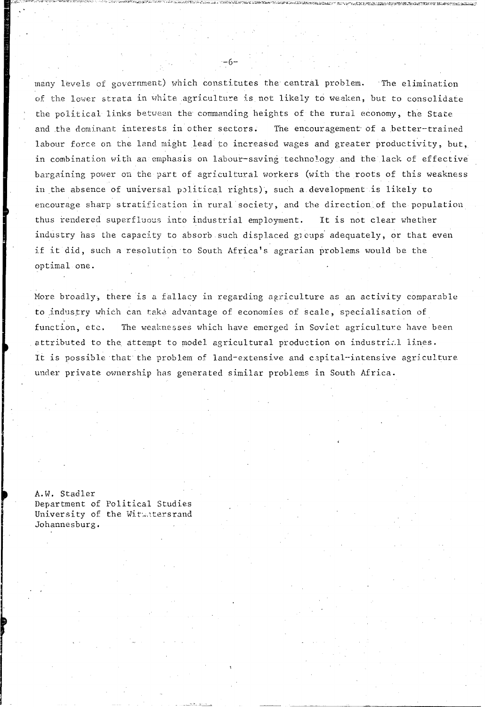many levels of government) which constitutes the central problem. The elimination of the lower strata in white agriculture is not likely to weaken, but to consolidate the political links between the commanding heights of the rural economy, the State and the dominant interests in other sectors. The encouragement of a better-trained labour force on the land might lead to increased wages and greater productivity, but, in combination with an emphasis on labour-saving technology and the lack of effective bargaining power on the part of agricultural workers (with the roots of this weakness in the absence of universal political rights), such a development is likely to encourage sharp stratification in rural society, and the direction of the population thus rendered superfluous into industrial employment. It is not clear whether industry has the capacity to absorb such displaced groups adequately, or that even if it did, such a resolution to South Africa's agrarian problems would be the optimal one.

More broadly, there is a fallacy in regarding agriculture as an activity comparable to industry which can take advantage of economies of scale, specialisation of function, etc. The weaknesses which have emerged in Soviet agriculture have been attributed to the attempt to model agricultural production on industrial lines. It is possible that the problem of land-extensive and capital-intensive agriculture under private ownership has generated similar problems in South Africa.

A.W. Stadler Department of Political Studies University of the Witwatersrand Johannesburg.